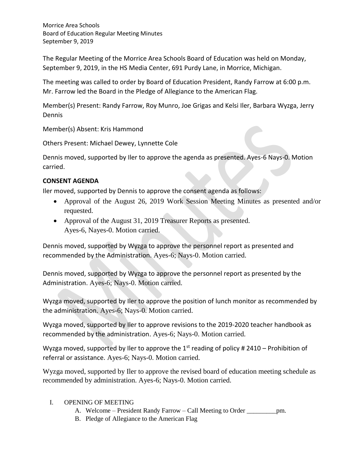Morrice Area Schools Board of Education Regular Meeting Minutes September 9, 2019

The Regular Meeting of the Morrice Area Schools Board of Education was held on Monday, September 9, 2019, in the HS Media Center, 691 Purdy Lane, in Morrice, Michigan.

The meeting was called to order by Board of Education President, Randy Farrow at 6:00 p.m. Mr. Farrow led the Board in the Pledge of Allegiance to the American Flag.

Member(s) Present: Randy Farrow, Roy Munro, Joe Grigas and Kelsi Iler, Barbara Wyzga, Jerry Dennis

Member(s) Absent: Kris Hammond

Others Present: Michael Dewey, Lynnette Cole

Dennis moved, supported by Iler to approve the agenda as presented. Ayes-6 Nays-0. Motion carried.

## **CONSENT AGENDA**

Iler moved, supported by Dennis to approve the consent agenda as follows:

- Approval of the August 26, 2019 Work Session Meeting Minutes as presented and/or requested.
- Approval of the August 31, 2019 Treasurer Reports as presented. Ayes-6, Nayes-0. Motion carried.

Dennis moved, supported by Wyzga to approve the personnel report as presented and recommended by the Administration. Ayes-6; Nays-0. Motion carried.

Dennis moved, supported by Wyzga to approve the personnel report as presented by the Administration. Ayes-6; Nays-0. Motion carried.

Wyzga moved, supported by Iler to approve the position of lunch monitor as recommended by the administration. Ayes-6; Nays-0. Motion carried.

Wyzga moved, supported by Iler to approve revisions to the 2019-2020 teacher handbook as recommended by the administration. Ayes-6; Nays-0. Motion carried.

Wyzga moved, supported by Iler to approve the 1<sup>st</sup> reading of policy # 2410 – Prohibition of referral or assistance. Ayes-6; Nays-0. Motion carried.

Wyzga moved, supported by Iler to approve the revised board of education meeting schedule as recommended by administration. Ayes-6; Nays-0. Motion carried.

## I. OPENING OF MEETING

- A. Welcome President Randy Farrow Call Meeting to Order pm.
- B. Pledge of Allegiance to the American Flag